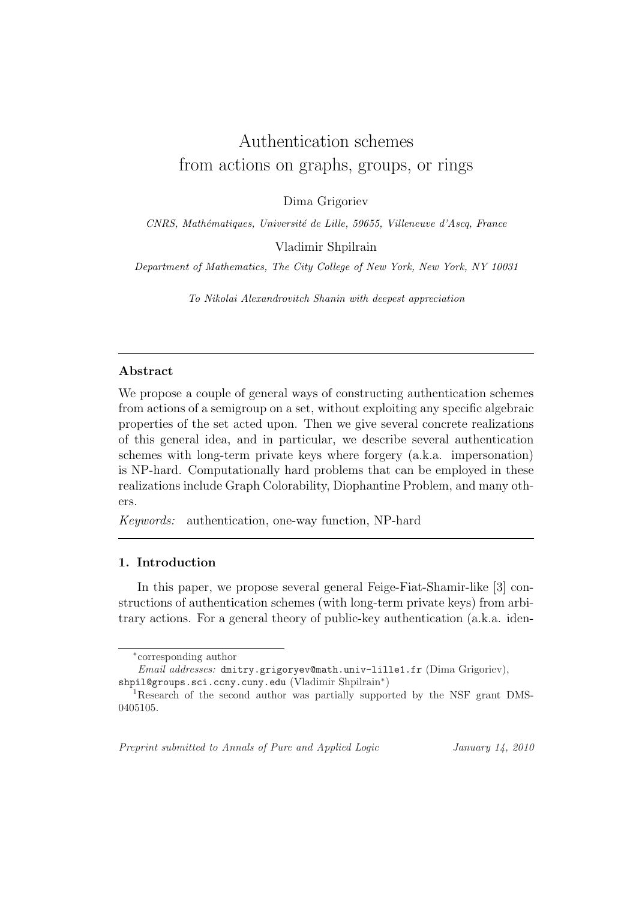# Authentication schemes from actions on graphs, groups, or rings

Dima Grigoriev

CNRS, Mathématiques, Université de Lille, 59655, Villeneuve d'Ascq, France

Vladimir Shpilrain

Department of Mathematics, The City College of New York, New York, NY 10031

To Nikolai Alexandrovitch Shanin with deepest appreciation

# Abstract

We propose a couple of general ways of constructing authentication schemes from actions of a semigroup on a set, without exploiting any specific algebraic properties of the set acted upon. Then we give several concrete realizations of this general idea, and in particular, we describe several authentication schemes with long-term private keys where forgery (a.k.a. impersonation) is NP-hard. Computationally hard problems that can be employed in these realizations include Graph Colorability, Diophantine Problem, and many others.

Keywords: authentication, one-way function, NP-hard

# 1. Introduction

In this paper, we propose several general Feige-Fiat-Shamir-like [3] constructions of authentication schemes (with long-term private keys) from arbitrary actions. For a general theory of public-key authentication (a.k.a. iden-

Preprint submitted to Annals of Pure and Applied Logic January 14, 2010

<sup>∗</sup> corresponding author

Email addresses: dmitry.grigoryev@math.univ-lille1.fr (Dima Grigoriev), shpil@groups.sci.ccny.cuny.edu (Vladimir Shpilrain<sup>∗</sup> )

<sup>1</sup>Research of the second author was partially supported by the NSF grant DMS-0405105.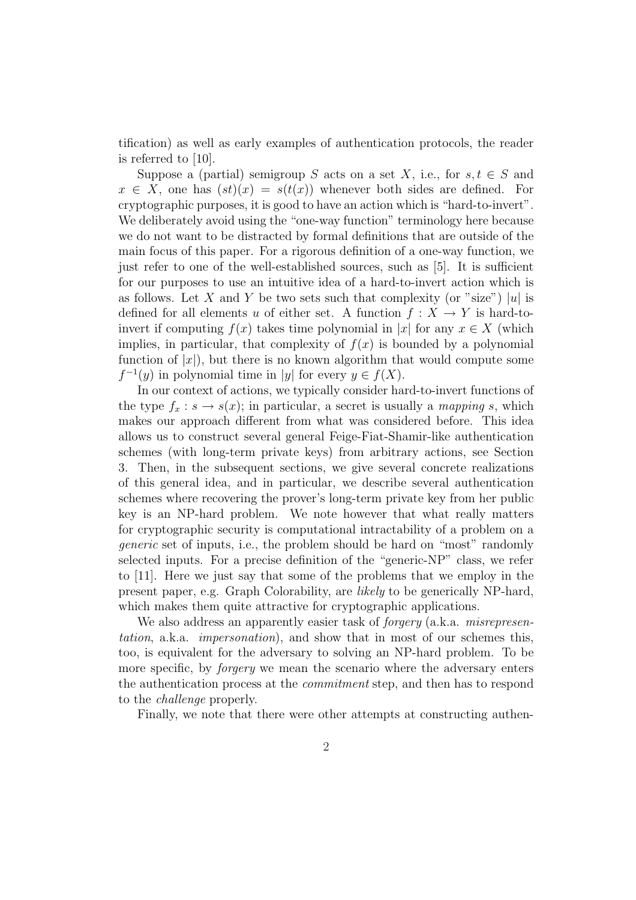tification) as well as early examples of authentication protocols, the reader is referred to [10].

Suppose a (partial) semigroup S acts on a set X, i.e., for  $s, t \in S$  and  $x \in X$ , one has  $(st)(x) = s(t(x))$  whenever both sides are defined. For cryptographic purposes, it is good to have an action which is "hard-to-invert". We deliberately avoid using the "one-way function" terminology here because we do not want to be distracted by formal definitions that are outside of the main focus of this paper. For a rigorous definition of a one-way function, we just refer to one of the well-established sources, such as [5]. It is sufficient for our purposes to use an intuitive idea of a hard-to-invert action which is as follows. Let X and Y be two sets such that complexity (or "size") |u| is defined for all elements u of either set. A function  $f: X \to Y$  is hard-toinvert if computing  $f(x)$  takes time polynomial in |x| for any  $x \in X$  (which implies, in particular, that complexity of  $f(x)$  is bounded by a polynomial function of  $|x|$ , but there is no known algorithm that would compute some  $f^{-1}(y)$  in polynomial time in |y| for every  $y \in f(X)$ .

In our context of actions, we typically consider hard-to-invert functions of the type  $f_x : s \to s(x)$ ; in particular, a secret is usually a *mapping s*, which makes our approach different from what was considered before. This idea allows us to construct several general Feige-Fiat-Shamir-like authentication schemes (with long-term private keys) from arbitrary actions, see Section 3. Then, in the subsequent sections, we give several concrete realizations of this general idea, and in particular, we describe several authentication schemes where recovering the prover's long-term private key from her public key is an NP-hard problem. We note however that what really matters for cryptographic security is computational intractability of a problem on a generic set of inputs, i.e., the problem should be hard on "most" randomly selected inputs. For a precise definition of the "generic-NP" class, we refer to [11]. Here we just say that some of the problems that we employ in the present paper, e.g. Graph Colorability, are likely to be generically NP-hard, which makes them quite attractive for cryptographic applications.

We also address an apparently easier task of *forgery* (a.k.a. *misrepresen*tation, a.k.a. impersonation), and show that in most of our schemes this, too, is equivalent for the adversary to solving an NP-hard problem. To be more specific, by *forgery* we mean the scenario where the adversary enters the authentication process at the *commitment* step, and then has to respond to the challenge properly.

Finally, we note that there were other attempts at constructing authen-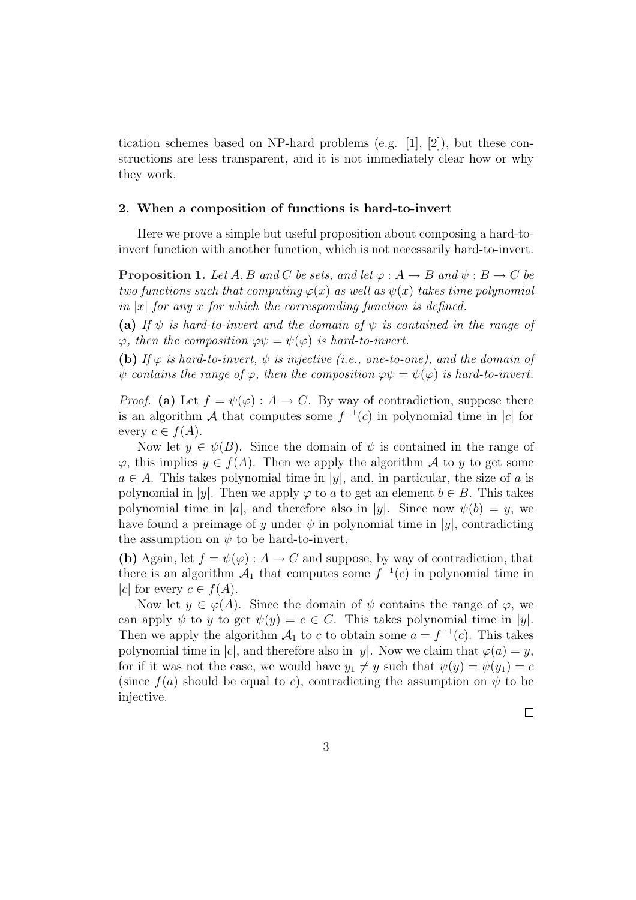tication schemes based on NP-hard problems (e.g. [1], [2]), but these constructions are less transparent, and it is not immediately clear how or why they work.

#### 2. When a composition of functions is hard-to-invert

Here we prove a simple but useful proposition about composing a hard-toinvert function with another function, which is not necessarily hard-to-invert.

**Proposition 1.** Let A, B and C be sets, and let  $\varphi : A \to B$  and  $\psi : B \to C$  be two functions such that computing  $\varphi(x)$  as well as  $\psi(x)$  takes time polynomial in |x| for any x for which the corresponding function is defined.

(a) If  $\psi$  is hard-to-invert and the domain of  $\psi$  is contained in the range of  $\varphi$ , then the composition  $\varphi \psi = \psi(\varphi)$  is hard-to-invert.

(b) If  $\varphi$  is hard-to-invert,  $\psi$  is injective (i.e., one-to-one), and the domain of  $\psi$  contains the range of  $\varphi$ , then the composition  $\varphi\psi = \psi(\varphi)$  is hard-to-invert.

*Proof.* (a) Let  $f = \psi(\varphi) : A \to C$ . By way of contradiction, suppose there is an algorithm A that computes some  $f^{-1}(c)$  in polynomial time in |c| for every  $c \in f(A)$ .

Now let  $y \in \psi(B)$ . Since the domain of  $\psi$  is contained in the range of  $\varphi$ , this implies  $y \in f(A)$ . Then we apply the algorithm A to y to get some  $a \in A$ . This takes polynomial time in |y|, and, in particular, the size of a is polynomial in |y|. Then we apply  $\varphi$  to a to get an element  $b \in B$ . This takes polynomial time in |a|, and therefore also in |y|. Since now  $\psi(b) = y$ , we have found a preimage of y under  $\psi$  in polynomial time in |y|, contradicting the assumption on  $\psi$  to be hard-to-invert.

(b) Again, let  $f = \psi(\varphi) : A \to C$  and suppose, by way of contradiction, that there is an algorithm  $\mathcal{A}_1$  that computes some  $f^{-1}(c)$  in polynomial time in |c| for every  $c \in f(A)$ .

Now let  $y \in \varphi(A)$ . Since the domain of  $\psi$  contains the range of  $\varphi$ , we can apply  $\psi$  to y to get  $\psi(y) = c \in C$ . This takes polynomial time in |y|. Then we apply the algorithm  $\mathcal{A}_1$  to c to obtain some  $a = f^{-1}(c)$ . This takes polynomial time in |c|, and therefore also in |y|. Now we claim that  $\varphi(a) = y$ , for if it was not the case, we would have  $y_1 \neq y$  such that  $\psi(y) = \psi(y_1) = c$ (since  $f(a)$  should be equal to c), contradicting the assumption on  $\psi$  to be injective.

 $\Box$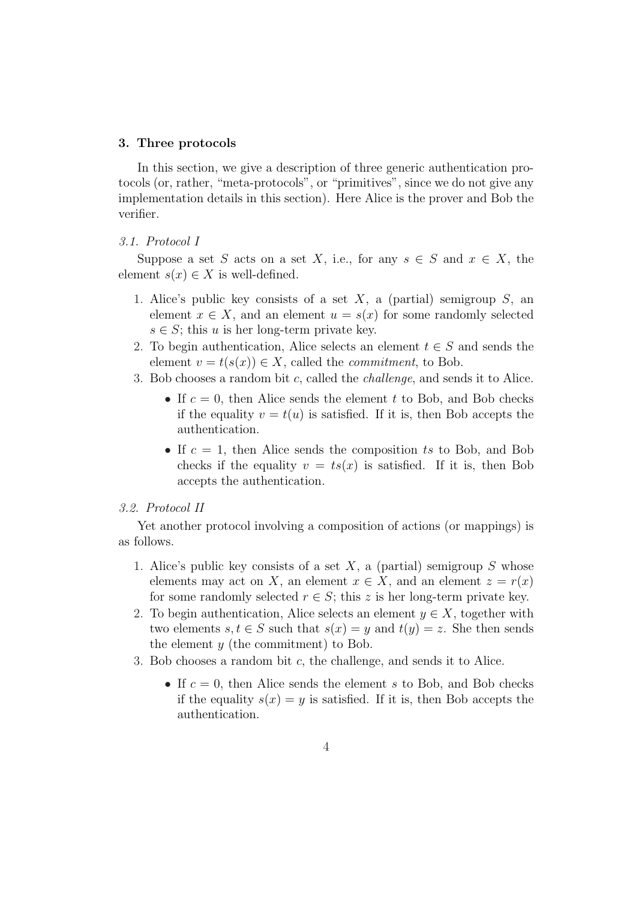#### 3. Three protocols

In this section, we give a description of three generic authentication protocols (or, rather, "meta-protocols", or "primitives", since we do not give any implementation details in this section). Here Alice is the prover and Bob the verifier.

#### 3.1. Protocol I

Suppose a set S acts on a set X, i.e., for any  $s \in S$  and  $x \in X$ , the element  $s(x) \in X$  is well-defined.

- 1. Alice's public key consists of a set X, a (partial) semigroup  $S$ , an element  $x \in X$ , and an element  $u = s(x)$  for some randomly selected  $s \in S$ ; this u is her long-term private key.
- 2. To begin authentication, Alice selects an element  $t \in S$  and sends the element  $v = t(s(x)) \in X$ , called the *commitment*, to Bob.
- 3. Bob chooses a random bit c, called the challenge, and sends it to Alice.
	- If  $c = 0$ , then Alice sends the element t to Bob, and Bob checks if the equality  $v = t(u)$  is satisfied. If it is, then Bob accepts the authentication.
	- If  $c = 1$ , then Alice sends the composition ts to Bob, and Bob checks if the equality  $v = ts(x)$  is satisfied. If it is, then Bob accepts the authentication.

#### 3.2. Protocol II

Yet another protocol involving a composition of actions (or mappings) is as follows.

- 1. Alice's public key consists of a set  $X$ , a (partial) semigroup  $S$  whose elements may act on X, an element  $x \in X$ , and an element  $z = r(x)$ for some randomly selected  $r \in S$ ; this z is her long-term private key.
- 2. To begin authentication, Alice selects an element  $y \in X$ , together with two elements  $s, t \in S$  such that  $s(x) = y$  and  $t(y) = z$ . She then sends the element  $y$  (the commitment) to Bob.
- 3. Bob chooses a random bit c, the challenge, and sends it to Alice.
	- If  $c = 0$ , then Alice sends the element s to Bob, and Bob checks if the equality  $s(x) = y$  is satisfied. If it is, then Bob accepts the authentication.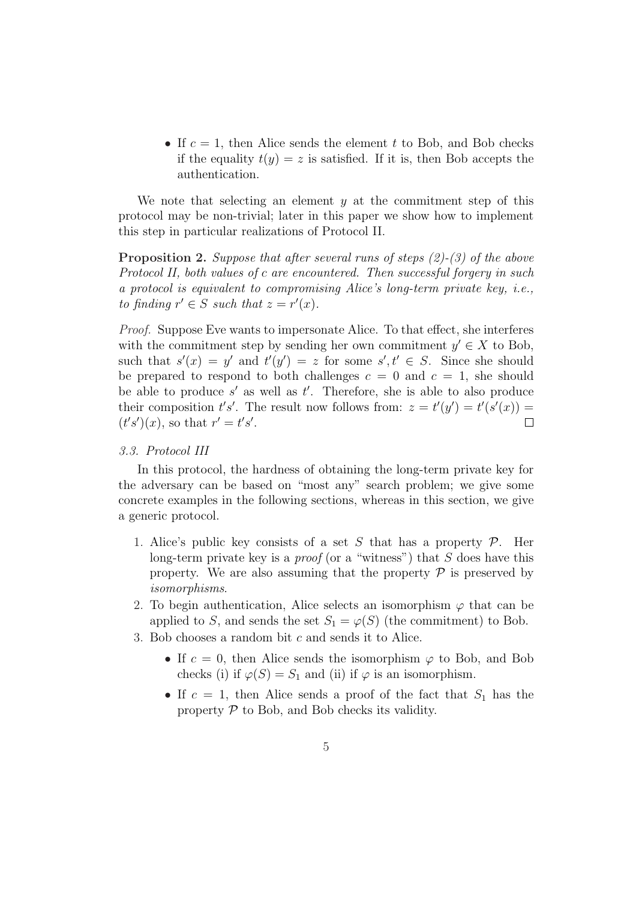• If  $c = 1$ , then Alice sends the element t to Bob, and Bob checks if the equality  $t(y) = z$  is satisfied. If it is, then Bob accepts the authentication.

We note that selecting an element  $y$  at the commitment step of this protocol may be non-trivial; later in this paper we show how to implement this step in particular realizations of Protocol II.

**Proposition 2.** Suppose that after several runs of steps  $(2)$ - $(3)$  of the above Protocol II, both values of c are encountered. Then successful forgery in such a protocol is equivalent to compromising Alice's long-term private key, i.e., to finding  $r' \in S$  such that  $z = r'(x)$ .

Proof. Suppose Eve wants to impersonate Alice. To that effect, she interferes with the commitment step by sending her own commitment  $y' \in X$  to Bob, such that  $s'(x) = y'$  and  $t'(y') = z$  for some  $s', t' \in S$ . Since she should be prepared to respond to both challenges  $c = 0$  and  $c = 1$ , she should be able to produce  $s'$  as well as  $t'$ . Therefore, she is able to also produce their composition  $t's'$ . The result now follows from:  $z = t'(y') = t'(s'(x))$  $(t's')(x)$ , so that  $r' = t's'$ .  $\Box$ 

## 3.3. Protocol III

In this protocol, the hardness of obtaining the long-term private key for the adversary can be based on "most any" search problem; we give some concrete examples in the following sections, whereas in this section, we give a generic protocol.

- 1. Alice's public key consists of a set S that has a property  $P$ . Her long-term private key is a  $proof$  (or a "witness") that  $S$  does have this property. We are also assuming that the property  $P$  is preserved by isomorphisms.
- 2. To begin authentication, Alice selects an isomorphism  $\varphi$  that can be applied to S, and sends the set  $S_1 = \varphi(S)$  (the commitment) to Bob.
- 3. Bob chooses a random bit c and sends it to Alice.
	- If  $c = 0$ , then Alice sends the isomorphism  $\varphi$  to Bob, and Bob checks (i) if  $\varphi(S) = S_1$  and (ii) if  $\varphi$  is an isomorphism.
	- If  $c = 1$ , then Alice sends a proof of the fact that  $S_1$  has the property  $P$  to Bob, and Bob checks its validity.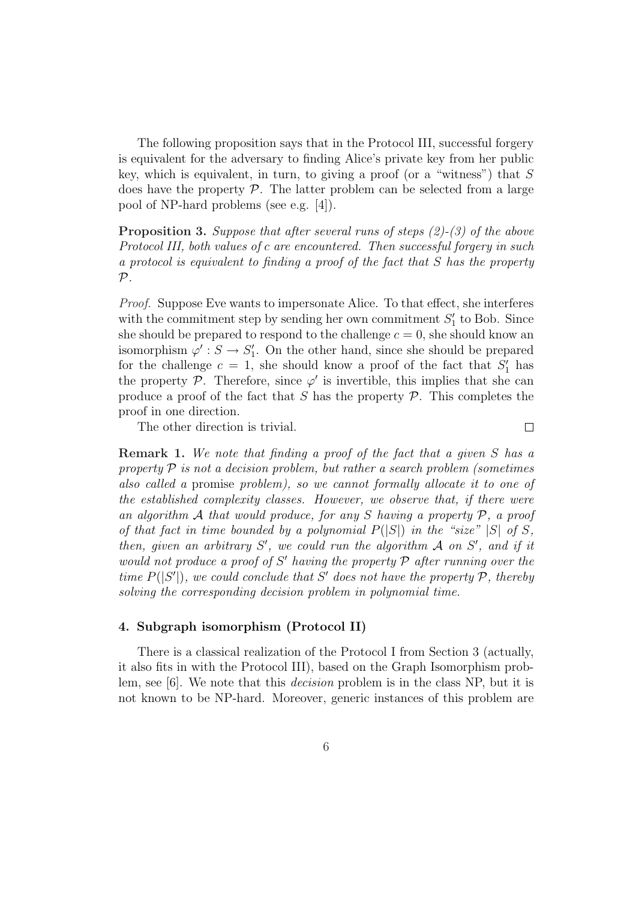The following proposition says that in the Protocol III, successful forgery is equivalent for the adversary to finding Alice's private key from her public key, which is equivalent, in turn, to giving a proof (or a "witness") that  $S$ does have the property  $P$ . The latter problem can be selected from a large pool of NP-hard problems (see e.g. [4]).

**Proposition 3.** Suppose that after several runs of steps  $(2)-(3)$  of the above Protocol III, both values of c are encountered. Then successful forgery in such a protocol is equivalent to finding a proof of the fact that S has the property  $\mathcal{P}$ .

Proof. Suppose Eve wants to impersonate Alice. To that effect, she interferes with the commitment step by sending her own commitment  $S'_{1}$  to Bob. Since she should be prepared to respond to the challenge  $c = 0$ , she should know an isomorphism  $\varphi' : S \to S'_1$ . On the other hand, since she should be prepared for the challenge  $c = 1$ , she should know a proof of the fact that  $S'_1$  has the property  $\mathcal{P}$ . Therefore, since  $\varphi'$  is invertible, this implies that she can produce a proof of the fact that S has the property  $P$ . This completes the proof in one direction.

The other direction is trivial.

 $\Box$ 

Remark 1. We note that finding a proof of the fact that a given S has a property  $\mathcal P$  is not a decision problem, but rather a search problem (sometimes also called a promise problem), so we cannot formally allocate it to one of the established complexity classes. However, we observe that, if there were an algorithm  $A$  that would produce, for any  $S$  having a property  $P$ , a proof of that fact in time bounded by a polynomial  $P(|S|)$  in the "size" |S| of S, then, given an arbitrary  $S'$ , we could run the algorithm  $A$  on  $S'$ , and if it would not produce a proof of  $S'$  having the property  $P$  after running over the time  $P(|S'|)$ , we could conclude that S' does not have the property P, thereby solving the corresponding decision problem in polynomial time.

#### 4. Subgraph isomorphism (Protocol II)

There is a classical realization of the Protocol I from Section 3 (actually, it also fits in with the Protocol III), based on the Graph Isomorphism problem, see [6]. We note that this decision problem is in the class NP, but it is not known to be NP-hard. Moreover, generic instances of this problem are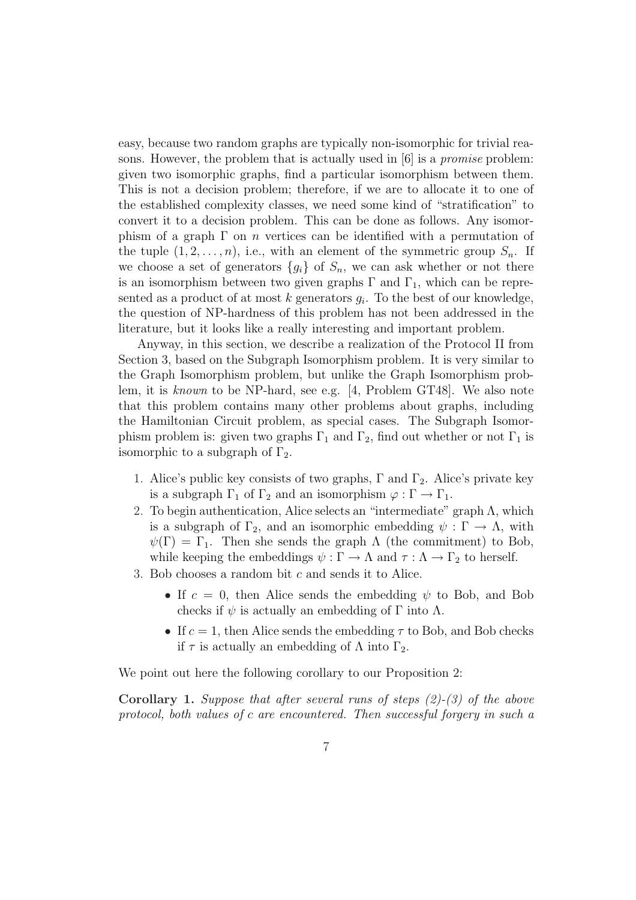easy, because two random graphs are typically non-isomorphic for trivial reasons. However, the problem that is actually used in [6] is a promise problem: given two isomorphic graphs, find a particular isomorphism between them. This is not a decision problem; therefore, if we are to allocate it to one of the established complexity classes, we need some kind of "stratification" to convert it to a decision problem. This can be done as follows. Any isomorphism of a graph  $\Gamma$  on *n* vertices can be identified with a permutation of the tuple  $(1, 2, \ldots, n)$ , i.e., with an element of the symmetric group  $S_n$ . If we choose a set of generators  $\{g_i\}$  of  $S_n$ , we can ask whether or not there is an isomorphism between two given graphs  $\Gamma$  and  $\Gamma_1$ , which can be represented as a product of at most  $k$  generators  $g_i$ . To the best of our knowledge, the question of NP-hardness of this problem has not been addressed in the literature, but it looks like a really interesting and important problem.

Anyway, in this section, we describe a realization of the Protocol II from Section 3, based on the Subgraph Isomorphism problem. It is very similar to the Graph Isomorphism problem, but unlike the Graph Isomorphism problem, it is known to be NP-hard, see e.g. [4, Problem GT48]. We also note that this problem contains many other problems about graphs, including the Hamiltonian Circuit problem, as special cases. The Subgraph Isomorphism problem is: given two graphs  $\Gamma_1$  and  $\Gamma_2$ , find out whether or not  $\Gamma_1$  is isomorphic to a subgraph of  $\Gamma_2$ .

- 1. Alice's public key consists of two graphs,  $\Gamma$  and  $\Gamma_2$ . Alice's private key is a subgraph  $\Gamma_1$  of  $\Gamma_2$  and an isomorphism  $\varphi : \Gamma \to \Gamma_1$ .
- 2. To begin authentication, Alice selects an "intermediate" graph  $\Lambda$ , which is a subgraph of  $\Gamma_2$ , and an isomorphic embedding  $\psi : \Gamma \to \Lambda$ , with  $\psi(\Gamma) = \Gamma_1$ . Then she sends the graph  $\Lambda$  (the commitment) to Bob, while keeping the embeddings  $\psi : \Gamma \to \Lambda$  and  $\tau : \Lambda \to \Gamma_2$  to herself.
- 3. Bob chooses a random bit c and sends it to Alice.
	- If  $c = 0$ , then Alice sends the embedding  $\psi$  to Bob, and Bob checks if  $\psi$  is actually an embedding of Γ into Λ.
	- If  $c = 1$ , then Alice sends the embedding  $\tau$  to Bob, and Bob checks if  $\tau$  is actually an embedding of  $\Lambda$  into  $\Gamma_2$ .

We point out here the following corollary to our Proposition 2:

**Corollary 1.** Suppose that after several runs of steps  $(2)-(3)$  of the above protocol, both values of c are encountered. Then successful forgery in such a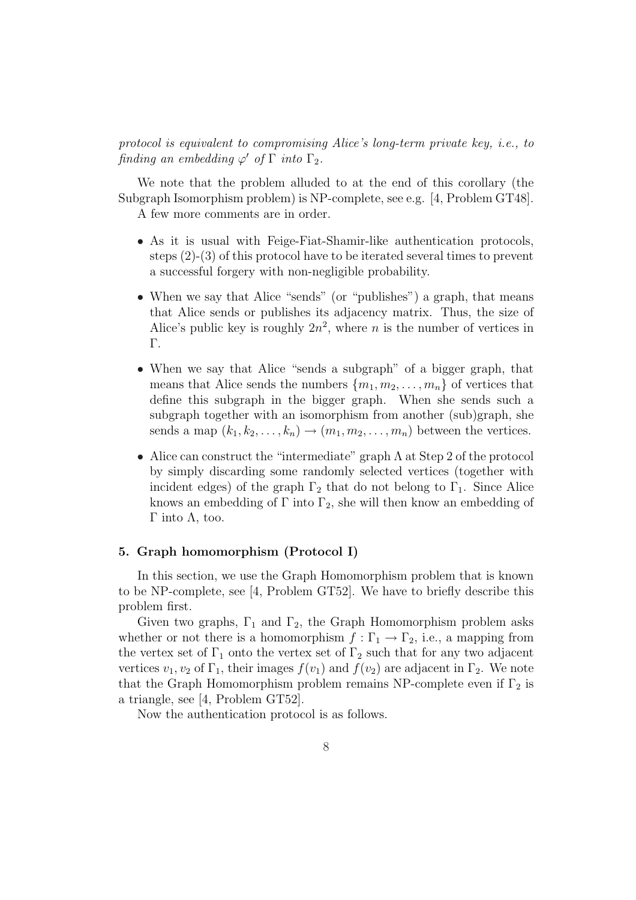# protocol is equivalent to compromising Alice's long-term private key, i.e., to finding an embedding  $\varphi'$  of  $\Gamma$  into  $\Gamma_2$ .

We note that the problem alluded to at the end of this corollary (the Subgraph Isomorphism problem) is NP-complete, see e.g. [4, Problem GT48].

A few more comments are in order.

- As it is usual with Feige-Fiat-Shamir-like authentication protocols, steps (2)-(3) of this protocol have to be iterated several times to prevent a successful forgery with non-negligible probability.
- When we say that Alice "sends" (or "publishes") a graph, that means that Alice sends or publishes its adjacency matrix. Thus, the size of Alice's public key is roughly  $2n^2$ , where *n* is the number of vertices in Γ.
- When we say that Alice "sends a subgraph" of a bigger graph, that means that Alice sends the numbers  $\{m_1, m_2, \ldots, m_n\}$  of vertices that define this subgraph in the bigger graph. When she sends such a subgraph together with an isomorphism from another (sub)graph, she sends a map  $(k_1, k_2, \ldots, k_n) \rightarrow (m_1, m_2, \ldots, m_n)$  between the vertices.
- Alice can construct the "intermediate" graph Λ at Step 2 of the protocol by simply discarding some randomly selected vertices (together with incident edges) of the graph  $\Gamma_2$  that do not belong to  $\Gamma_1$ . Since Alice knows an embedding of  $\Gamma$  into  $\Gamma_2$ , she will then know an embedding of Γ into  $Λ$ , too.

#### 5. Graph homomorphism (Protocol I)

In this section, we use the Graph Homomorphism problem that is known to be NP-complete, see [4, Problem GT52]. We have to briefly describe this problem first.

Given two graphs,  $\Gamma_1$  and  $\Gamma_2$ , the Graph Homomorphism problem asks whether or not there is a homomorphism  $f : \Gamma_1 \to \Gamma_2$ , i.e., a mapping from the vertex set of  $\Gamma_1$  onto the vertex set of  $\Gamma_2$  such that for any two adjacent vertices  $v_1, v_2$  of  $\Gamma_1$ , their images  $f(v_1)$  and  $f(v_2)$  are adjacent in  $\Gamma_2$ . We note that the Graph Homomorphism problem remains NP-complete even if  $\Gamma_2$  is a triangle, see [4, Problem GT52].

Now the authentication protocol is as follows.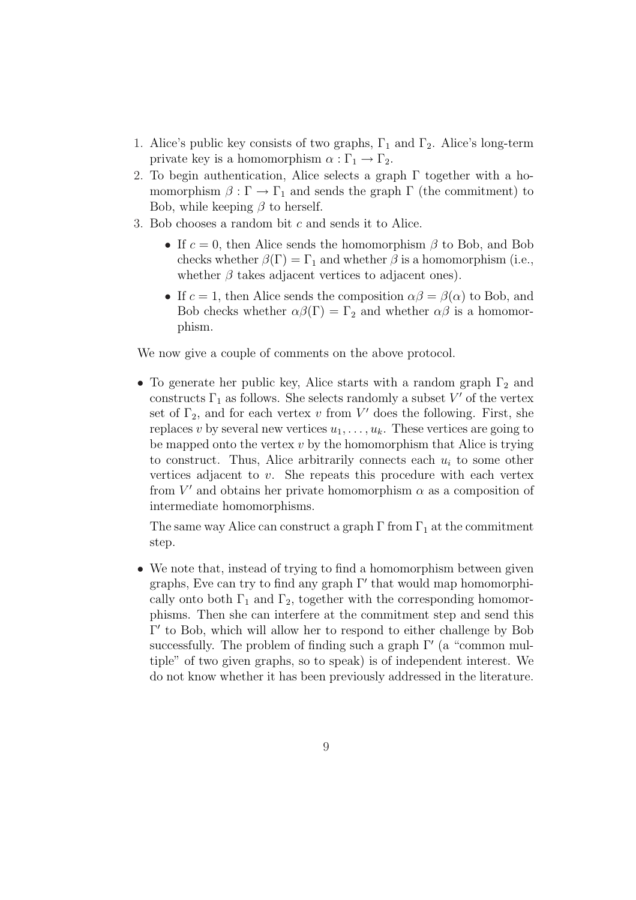- 1. Alice's public key consists of two graphs,  $\Gamma_1$  and  $\Gamma_2$ . Alice's long-term private key is a homomorphism  $\alpha : \Gamma_1 \to \Gamma_2$ .
- 2. To begin authentication, Alice selects a graph  $\Gamma$  together with a homomorphism  $\beta : \Gamma \to \Gamma_1$  and sends the graph  $\Gamma$  (the commitment) to Bob, while keeping  $\beta$  to herself.
- 3. Bob chooses a random bit  $c$  and sends it to Alice.
	- If  $c = 0$ , then Alice sends the homomorphism  $\beta$  to Bob, and Bob checks whether  $\beta(\Gamma) = \Gamma_1$  and whether  $\beta$  is a homomorphism (i.e., whether  $\beta$  takes adjacent vertices to adjacent ones).
	- If  $c = 1$ , then Alice sends the composition  $\alpha\beta = \beta(\alpha)$  to Bob, and Bob checks whether  $\alpha\beta(\Gamma) = \Gamma_2$  and whether  $\alpha\beta$  is a homomorphism.

We now give a couple of comments on the above protocol.

• To generate her public key, Alice starts with a random graph  $\Gamma_2$  and constructs  $\Gamma_1$  as follows. She selects randomly a subset  $V'$  of the vertex set of  $\Gamma_2$ , and for each vertex v from V' does the following. First, she replaces v by several new vertices  $u_1, \ldots, u_k$ . These vertices are going to be mapped onto the vertex  $v$  by the homomorphism that Alice is trying to construct. Thus, Alice arbitrarily connects each  $u_i$  to some other vertices adjacent to v. She repeats this procedure with each vertex from  $V'$  and obtains her private homomorphism  $\alpha$  as a composition of intermediate homomorphisms.

The same way Alice can construct a graph  $\Gamma$  from  $\Gamma_1$  at the commitment step.

• We note that, instead of trying to find a homomorphism between given graphs, Eve can try to find any graph  $\Gamma'$  that would map homomorphically onto both  $\Gamma_1$  and  $\Gamma_2$ , together with the corresponding homomorphisms. Then she can interfere at the commitment step and send this Γ' to Bob, which will allow her to respond to either challenge by Bob successfully. The problem of finding such a graph  $\Gamma'$  (a "common multiple" of two given graphs, so to speak) is of independent interest. We do not know whether it has been previously addressed in the literature.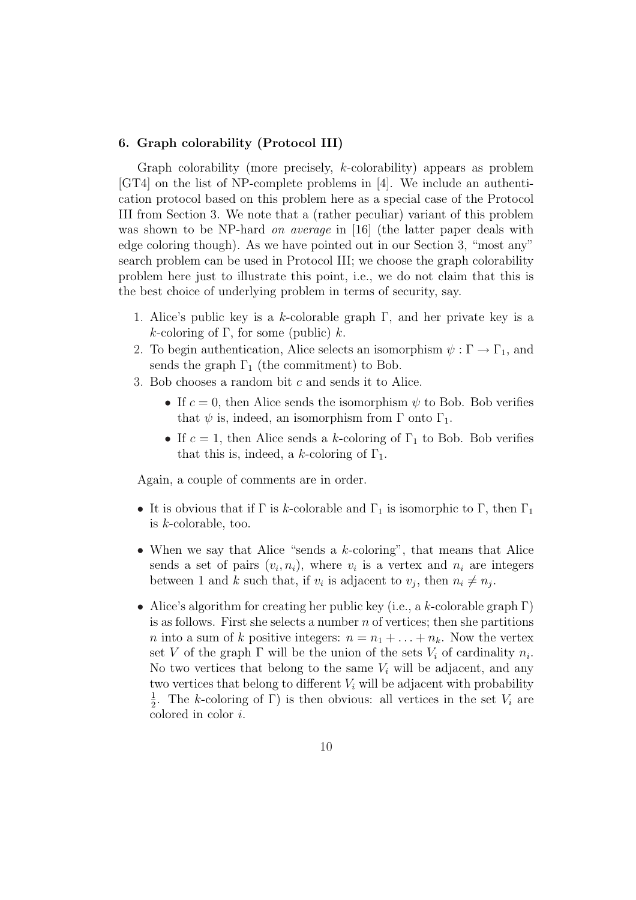#### 6. Graph colorability (Protocol III)

Graph colorability (more precisely, k-colorability) appears as problem [GT4] on the list of NP-complete problems in [4]. We include an authentication protocol based on this problem here as a special case of the Protocol III from Section 3. We note that a (rather peculiar) variant of this problem was shown to be NP-hard *on average* in [16] (the latter paper deals with edge coloring though). As we have pointed out in our Section 3, "most any" search problem can be used in Protocol III; we choose the graph colorability problem here just to illustrate this point, i.e., we do not claim that this is the best choice of underlying problem in terms of security, say.

- 1. Alice's public key is a k-colorable graph  $\Gamma$ , and her private key is a k-coloring of  $\Gamma$ , for some (public) k.
- 2. To begin authentication, Alice selects an isomorphism  $\psi : \Gamma \to \Gamma_1$ , and sends the graph  $\Gamma_1$  (the commitment) to Bob.
- 3. Bob chooses a random bit c and sends it to Alice.
	- If  $c = 0$ , then Alice sends the isomorphism  $\psi$  to Bob. Bob verifies that  $\psi$  is, indeed, an isomorphism from  $\Gamma$  onto  $\Gamma_1$ .
	- If  $c = 1$ , then Alice sends a k-coloring of  $\Gamma_1$  to Bob. Bob verifies that this is, indeed, a k-coloring of  $\Gamma_1$ .

Again, a couple of comments are in order.

- It is obvious that if  $\Gamma$  is k-colorable and  $\Gamma_1$  is isomorphic to  $\Gamma$ , then  $\Gamma_1$ is k-colorable, too.
- When we say that Alice "sends a k-coloring", that means that Alice sends a set of pairs  $(v_i, n_i)$ , where  $v_i$  is a vertex and  $n_i$  are integers between 1 and k such that, if  $v_i$  is adjacent to  $v_j$ , then  $n_i \neq n_j$ .
- Alice's algorithm for creating her public key (i.e., a k-colorable graph  $\Gamma$ ) is as follows. First she selects a number  $n$  of vertices; then she partitions n into a sum of k positive integers:  $n = n_1 + \ldots + n_k$ . Now the vertex set V of the graph  $\Gamma$  will be the union of the sets  $V_i$  of cardinality  $n_i$ . No two vertices that belong to the same  $V_i$  will be adjacent, and any two vertices that belong to different  $V_i$  will be adjacent with probability 1  $\frac{1}{2}$ . The k-coloring of Γ) is then obvious: all vertices in the set  $V_i$  are colored in color i.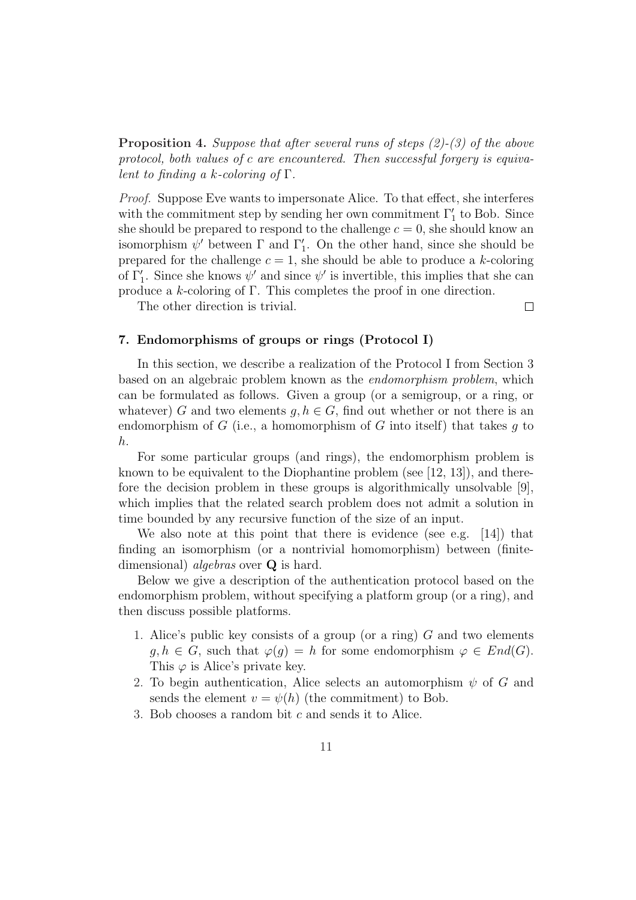**Proposition 4.** Suppose that after several runs of steps  $(2)-(3)$  of the above protocol, both values of c are encountered. Then successful forgery is equivalent to finding a k-coloring of  $\Gamma$ .

Proof. Suppose Eve wants to impersonate Alice. To that effect, she interferes with the commitment step by sending her own commitment  $\Gamma'_1$  to Bob. Since she should be prepared to respond to the challenge  $c = 0$ , she should know an isomorphism  $\psi'$  between  $\Gamma$  and  $\Gamma'_1$ . On the other hand, since she should be prepared for the challenge  $c = 1$ , she should be able to produce a k-coloring of  $\Gamma'_1$ . Since she knows  $\psi'$  and since  $\psi'$  is invertible, this implies that she can produce a  $k$ -coloring of Γ. This completes the proof in one direction.

The other direction is trivial.

 $\Box$ 

#### 7. Endomorphisms of groups or rings (Protocol I)

In this section, we describe a realization of the Protocol I from Section 3 based on an algebraic problem known as the endomorphism problem, which can be formulated as follows. Given a group (or a semigroup, or a ring, or whatever) G and two elements  $g, h \in G$ , find out whether or not there is an endomorphism of G (i.e., a homomorphism of G into itself) that takes  $g$  to h.

For some particular groups (and rings), the endomorphism problem is known to be equivalent to the Diophantine problem (see [12, 13]), and therefore the decision problem in these groups is algorithmically unsolvable [9], which implies that the related search problem does not admit a solution in time bounded by any recursive function of the size of an input.

We also note at this point that there is evidence (see e.g. [14]) that finding an isomorphism (or a nontrivial homomorphism) between (finitedimensional) *algebras* over **Q** is hard.

Below we give a description of the authentication protocol based on the endomorphism problem, without specifying a platform group (or a ring), and then discuss possible platforms.

- 1. Alice's public key consists of a group (or a ring) G and two elements  $g, h \in G$ , such that  $\varphi(g) = h$  for some endomorphism  $\varphi \in End(G)$ . This  $\varphi$  is Alice's private key.
- 2. To begin authentication, Alice selects an automorphism  $\psi$  of G and sends the element  $v = \psi(h)$  (the commitment) to Bob.
- 3. Bob chooses a random bit c and sends it to Alice.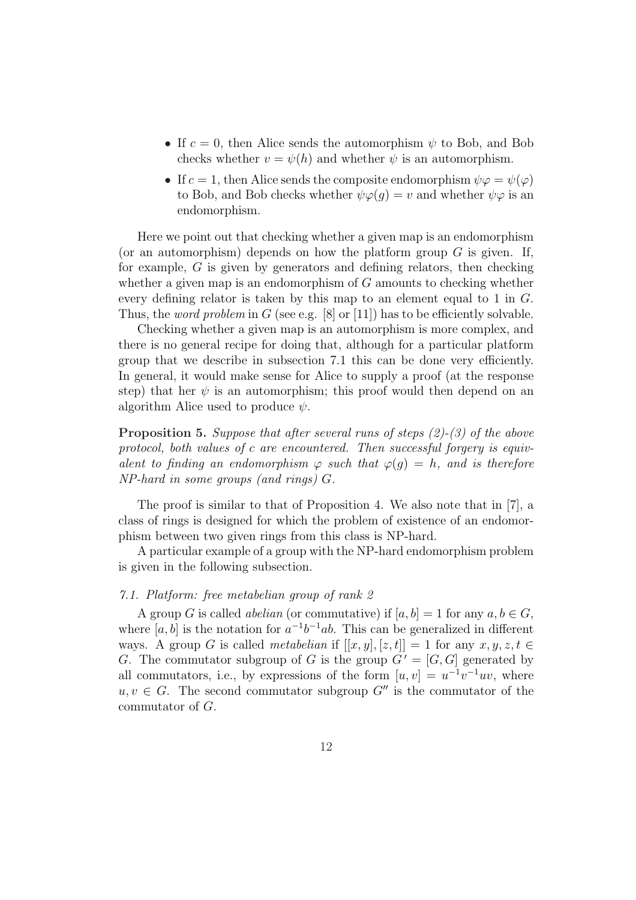- If  $c = 0$ , then Alice sends the automorphism  $\psi$  to Bob, and Bob checks whether  $v = \psi(h)$  and whether  $\psi$  is an automorphism.
- If  $c = 1$ , then Alice sends the composite endomorphism  $\psi \varphi = \psi(\varphi)$ to Bob, and Bob checks whether  $\psi \varphi(q) = v$  and whether  $\psi \varphi$  is an endomorphism.

Here we point out that checking whether a given map is an endomorphism (or an automorphism) depends on how the platform group  $G$  is given. If, for example,  $G$  is given by generators and defining relators, then checking whether a given map is an endomorphism of  $G$  amounts to checking whether every defining relator is taken by this map to an element equal to 1 in G. Thus, the *word problem* in G (see e.g. [8] or [11]) has to be efficiently solvable.

Checking whether a given map is an automorphism is more complex, and there is no general recipe for doing that, although for a particular platform group that we describe in subsection 7.1 this can be done very efficiently. In general, it would make sense for Alice to supply a proof (at the response step) that her  $\psi$  is an automorphism; this proof would then depend on an algorithm Alice used to produce  $\psi$ .

Proposition 5. Suppose that after several runs of steps (2)-(3) of the above protocol, both values of c are encountered. Then successful forgery is equivalent to finding an endomorphism  $\varphi$  such that  $\varphi(q) = h$ , and is therefore NP-hard in some groups (and rings) G.

The proof is similar to that of Proposition 4. We also note that in [7], a class of rings is designed for which the problem of existence of an endomorphism between two given rings from this class is NP-hard.

A particular example of a group with the NP-hard endomorphism problem is given in the following subsection.

#### 7.1. Platform: free metabelian group of rank 2

A group G is called *abelian* (or commutative) if  $[a, b] = 1$  for any  $a, b \in G$ , where [a, b] is the notation for  $a^{-1}b^{-1}ab$ . This can be generalized in different ways. A group G is called metabelian if  $[[x, y], [z, t]] = 1$  for any  $x, y, z, t \in$ G. The commutator subgroup of G is the group  $G' = [G, G]$  generated by all commutators, i.e., by expressions of the form  $[u, v] = u^{-1}v^{-1}uv$ , where  $u, v \in G$ . The second commutator subgroup  $G''$  is the commutator of the commutator of G.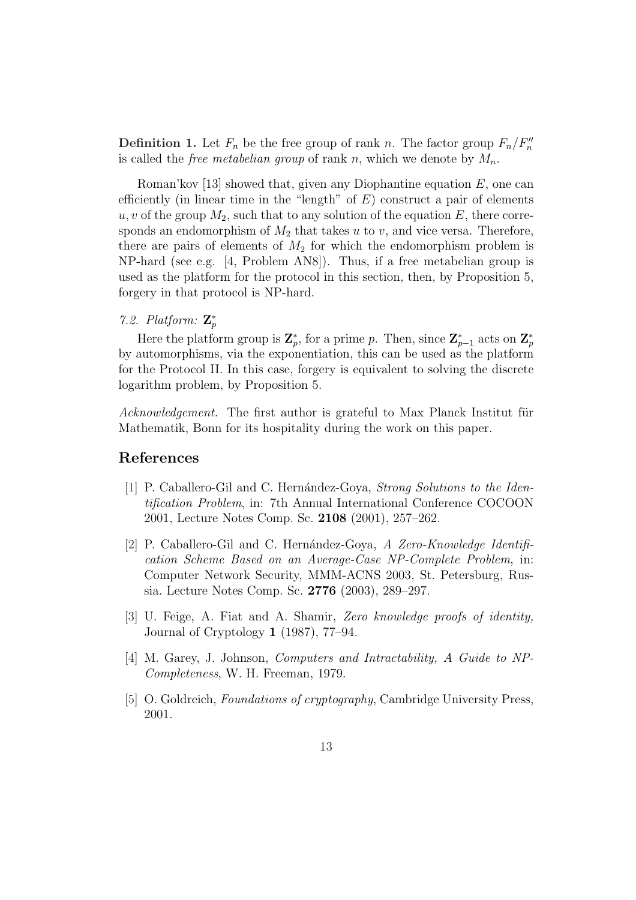**Definition 1.** Let  $F_n$  be the free group of rank n. The factor group  $F_n/F_n''$ is called the *free metabelian group* of rank n, which we denote by  $M_n$ .

Roman'kov [13] showed that, given any Diophantine equation  $E$ , one can efficiently (in linear time in the "length" of  $E$ ) construct a pair of elements  $u, v$  of the group  $M_2$ , such that to any solution of the equation E, there corresponds an endomorphism of  $M_2$  that takes u to v, and vice versa. Therefore, there are pairs of elements of  $M_2$  for which the endomorphism problem is NP-hard (see e.g. [4, Problem AN8]). Thus, if a free metabelian group is used as the platform for the protocol in this section, then, by Proposition 5, forgery in that protocol is NP-hard.

# 7.2. Platform:  $\mathbf{Z}_p^*$

Here the platform group is  $\mathbf{Z}_p^*$ , for a prime p. Then, since  $\mathbf{Z}_{p-1}^*$  acts on  $\mathbf{Z}_p^*$ by automorphisms, via the exponentiation, this can be used as the platform for the Protocol II. In this case, forgery is equivalent to solving the discrete logarithm problem, by Proposition 5.

Acknowledgement. The first author is grateful to Max Planck Institut für Mathematik, Bonn for its hospitality during the work on this paper.

## References

- [1] P. Caballero-Gil and C. Hernández-Goya, *Strong Solutions to the Iden*tification Problem, in: 7th Annual International Conference COCOON 2001, Lecture Notes Comp. Sc. 2108 (2001), 257–262.
- [2] P. Caballero-Gil and C. Hernández-Goya, A Zero-Knowledge Identification Scheme Based on an Average-Case NP-Complete Problem, in: Computer Network Security, MMM-ACNS 2003, St. Petersburg, Russia. Lecture Notes Comp. Sc. 2776 (2003), 289–297.
- [3] U. Feige, A. Fiat and A. Shamir, Zero knowledge proofs of identity, Journal of Cryptology 1 (1987), 77–94.
- [4] M. Garey, J. Johnson, Computers and Intractability, A Guide to NP-Completeness, W. H. Freeman, 1979.
- [5] O. Goldreich, *Foundations of cryptography*, Cambridge University Press, 2001.